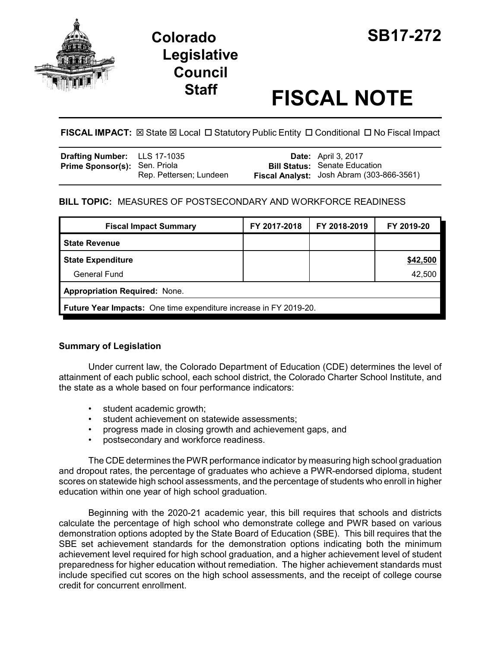

# **Colorado SB17-272 Legislative Council**

# **Staff FISCAL NOTE**

# FISCAL IMPACT:  $\boxtimes$  State  $\boxtimes$  Local  $\Box$  Statutory Public Entity  $\Box$  Conditional  $\Box$  No Fiscal Impact

| <b>Drafting Number:</b> LLS 17-1035  |                         | <b>Date:</b> April 3, 2017                |
|--------------------------------------|-------------------------|-------------------------------------------|
| <b>Prime Sponsor(s): Sen. Priola</b> |                         | <b>Bill Status:</b> Senate Education      |
|                                      | Rep. Pettersen; Lundeen | Fiscal Analyst: Josh Abram (303-866-3561) |

# **BILL TOPIC:** MEASURES OF POSTSECONDARY AND WORKFORCE READINESS

| <b>Fiscal Impact Summary</b>                                             | FY 2017-2018 | FY 2018-2019 | FY 2019-20 |  |  |  |
|--------------------------------------------------------------------------|--------------|--------------|------------|--|--|--|
| <b>State Revenue</b>                                                     |              |              |            |  |  |  |
| <b>State Expenditure</b>                                                 |              |              | \$42,500   |  |  |  |
| General Fund                                                             |              |              | 42,500     |  |  |  |
| <b>Appropriation Required: None.</b>                                     |              |              |            |  |  |  |
| <b>Future Year Impacts:</b> One time expenditure increase in FY 2019-20. |              |              |            |  |  |  |

# **Summary of Legislation**

Under current law, the Colorado Department of Education (CDE) determines the level of attainment of each public school, each school district, the Colorado Charter School Institute, and the state as a whole based on four performance indicators:

- student academic growth;
- student achievement on statewide assessments;
- progress made in closing growth and achievement gaps, and
- postsecondary and workforce readiness.

The CDE determines the PWR performance indicator by measuring high school graduation and dropout rates, the percentage of graduates who achieve a PWR-endorsed diploma, student scores on statewide high school assessments, and the percentage of students who enroll in higher education within one year of high school graduation.

Beginning with the 2020-21 academic year, this bill requires that schools and districts calculate the percentage of high school who demonstrate college and PWR based on various demonstration options adopted by the State Board of Education (SBE). This bill requires that the SBE set achievement standards for the demonstration options indicating both the minimum achievement level required for high school graduation, and a higher achievement level of student preparedness for higher education without remediation. The higher achievement standards must include specified cut scores on the high school assessments, and the receipt of college course credit for concurrent enrollment.